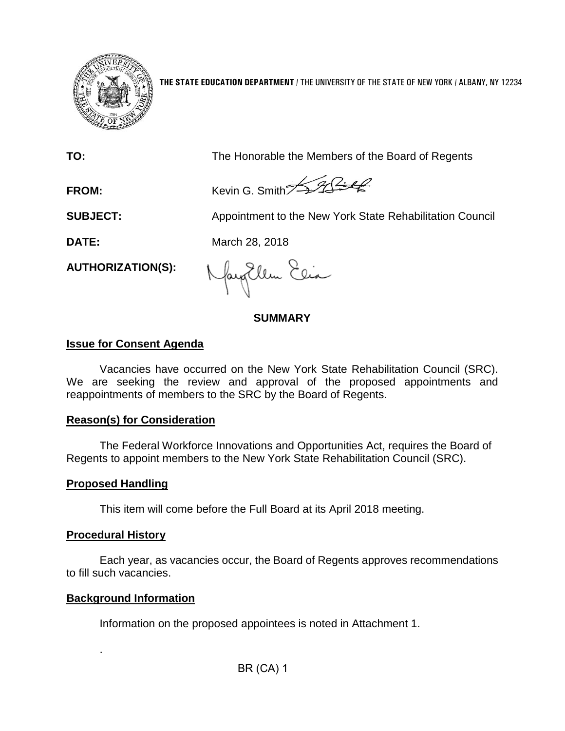

**THE STATE EDUCATION DEPARTMENT** / THE UNIVERSITY OF THE STATE OF NEW YORK / ALBANY, NY 12234

**TO:** The Honorable the Members of the Board of Regents

FROM: Kevin G. Smith

**SUBJECT:** Appointment to the New York State Rehabilitation Council

**DATE:** March 28, 2018

**AUTHORIZATION(S):**

fayEllen Elia

## **SUMMARY**

## **Issue for Consent Agenda**

Vacancies have occurred on the New York State Rehabilitation Council (SRC). We are seeking the review and approval of the proposed appointments and reappointments of members to the SRC by the Board of Regents.

### **Reason(s) for Consideration**

The Federal Workforce Innovations and Opportunities Act, requires the Board of Regents to appoint members to the New York State Rehabilitation Council (SRC).

# **Proposed Handling**

This item will come before the Full Board at its April 2018 meeting.

# **Procedural History**

.

Each year, as vacancies occur, the Board of Regents approves recommendations to fill such vacancies.

# **Background Information**

Information on the proposed appointees is noted in Attachment 1.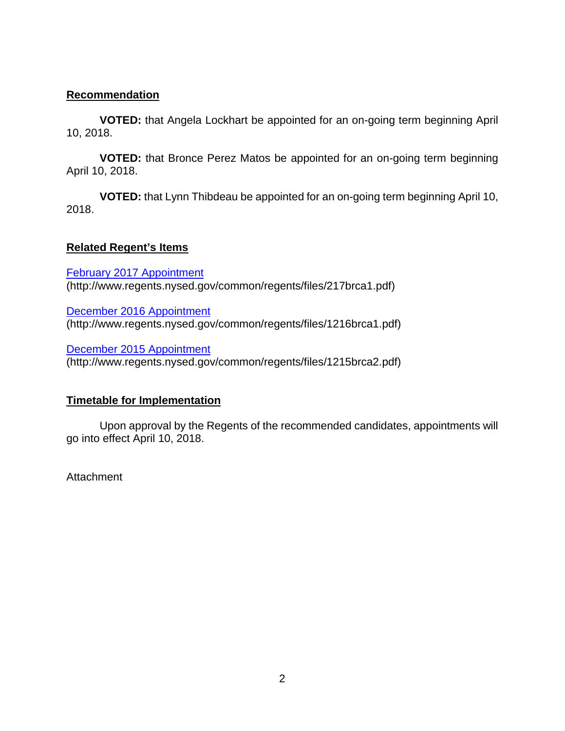## **Recommendation**

**VOTED:** that Angela Lockhart be appointed for an on-going term beginning April 10, 2018.

**VOTED:** that Bronce Perez Matos be appointed for an on-going term beginning April 10, 2018.

**VOTED:** that Lynn Thibdeau be appointed for an on-going term beginning April 10, 2018.

# **Related Regent's Items**

[February 2017 Appointment](http://www.regents.nysed.gov/common/regents/files/217brca1.pdf) (http://www.regents.nysed.gov/common/regents/files/217brca1.pdf)

[December 2016 Appointment](http://www.regents.nysed.gov/common/regents/files/1216brca1.pdf) (http://www.regents.nysed.gov/common/regents/files/1216brca1.pdf)

[December 2015 Appointment](http://www.regents.nysed.gov/common/regents/files/1215brca2.pdf) (http://www.regents.nysed.gov/common/regents/files/1215brca2.pdf)

# **Timetable for Implementation**

Upon approval by the Regents of the recommended candidates, appointments will go into effect April 10, 2018.

**Attachment**